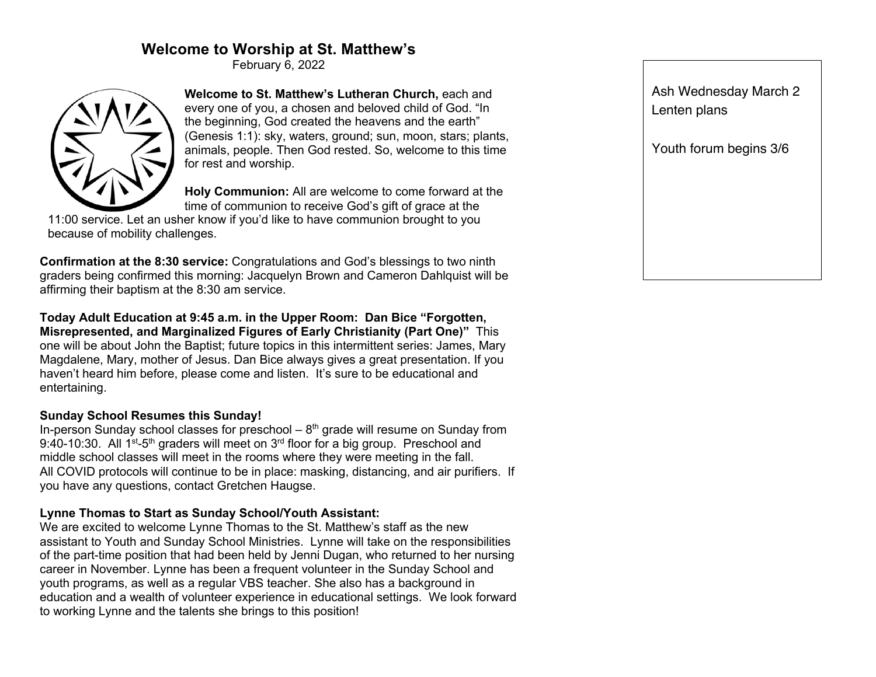# **Welcome to Worship at St. Matthew's**

February 6, 2022



**Welcome to St. Matthew's Lutheran Church,** each and every one of you, a chosen and beloved child of God. "In the beginning, God created the heavens and the earth" (Genesis 1:1): sky, waters, ground; sun, moon, stars; plants, animals, people. Then God rested. So, welcome to this time for rest and worship.

**Holy Communion:** All are welcome to come forward at the time of communion to receive God's gift of grace at the

11:00 service. Let an usher know if you'd like to have communion brought to you because of mobility challenges.

**Confirmation at the 8:30 service:** Congratulations and God's blessings to two ninth graders being confirmed this morning: Jacquelyn Brown and Cameron Dahlquist will be affirming their baptism at the 8:30 am service.

**Today Adult Education at 9:45 a.m. in the Upper Room: Dan Bice "Forgotten, Misrepresented, and Marginalized Figures of Early Christianity (Part One)"** This one will be about John the Baptist; future topics in this intermittent series: James, Mary Magdalene, Mary, mother of Jesus. Dan Bice always gives a great presentation. If you haven't heard him before, please come and listen. It's sure to be educational and entertaining.

#### **Sunday School Resumes this Sunday!**

In-person Sunday school classes for preschool  $-8<sup>th</sup>$  grade will resume on Sunday from 9:40-10:30. All  $1^{st}$ -5<sup>th</sup> graders will meet on  $3^{rd}$  floor for a big group. Preschool and middle school classes will meet in the rooms where they were meeting in the fall. All COVID protocols will continue to be in place: masking, distancing, and air purifiers. If you have any questions, contact Gretchen Haugse.

#### **Lynne Thomas to Start as Sunday School/Youth Assistant:**

We are excited to welcome Lynne Thomas to the St. Matthew's staff as the new assistant to Youth and Sunday School Ministries. Lynne will take on the responsibilities of the part-time position that had been held by Jenni Dugan, who returned to her nursing career in November. Lynne has been a frequent volunteer in the Sunday School and youth programs, as well as a regular VBS teacher. She also has a background in education and a wealth of volunteer experience in educational settings. We look forward to working Lynne and the talents she brings to this position!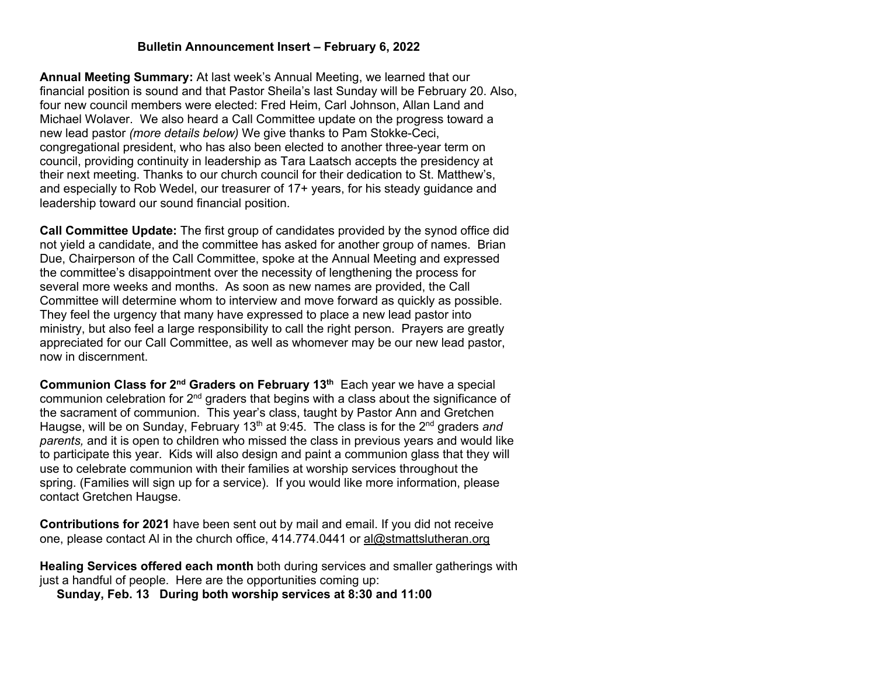### **Bulletin Announcement Insert – February 6, 2022**

**Annual Meeting Summary:** At last week's Annual Meeting, we learned that our financial position is sound and that Pastor Sheila's last Sunday will be February 20. Also, four new council members were elected: Fred Heim, Carl Johnson, Allan Land and Michael Wolaver. We also heard a Call Committee update on the progress toward a new lead pastor *(more details below)* We give thanks to Pam Stokke-Ceci, congregational president, who has also been elected to another three-year term on council, providing continuity in leadership as Tara Laatsch accepts the presidency at their next meeting. Thanks to our church council for their dedication to St. Matthew's, and especially to Rob Wedel, our treasurer of 17+ years, for his steady guidance and leadership toward our sound financial position.

**Call Committee Update:** The first group of candidates provided by the synod office did not yield a candidate, and the committee has asked for another group of names. Brian Due, Chairperson of the Call Committee, spoke at the Annual Meeting and expressed the committee's disappointment over the necessity of lengthening the process for several more weeks and months. As soon as new names are provided, the Call Committee will determine whom to interview and move forward as quickly as possible. They feel the urgency that many have expressed to place a new lead pastor into ministry, but also feel a large responsibility to call the right person. Prayers are greatly appreciated for our Call Committee, as well as whomever may be our new lead pastor, now in discernment.

**Communion Class for 2<sup>nd</sup> Graders on February 13<sup>th</sup> Each year we have a special** communion celebration for  $2<sup>nd</sup>$  graders that begins with a class about the significance of the sacrament of communion. This year's class, taught by Pastor Ann and Gretchen Haugse, will be on Sunday, February 13<sup>th</sup> at 9:45. The class is for the 2<sup>nd</sup> graders *and parents,* and it is open to children who missed the class in previous years and would like to participate this year. Kids will also design and paint a communion glass that they will use to celebrate communion with their families at worship services throughout the spring. (Families will sign up for a service).If you would like more information, please contact Gretchen Haugse.

**Contributions for 2021** have been sent out by mail and email. If you did not receive one, please contact Al in the church office, 414.774.0441 or al@stmattslutheran.org

**Healing Services offered each month** both during services and smaller gatherings with just a handful of people. Here are the opportunities coming up:

 **Sunday, Feb. 13 During both worship services at 8:30 and 11:00**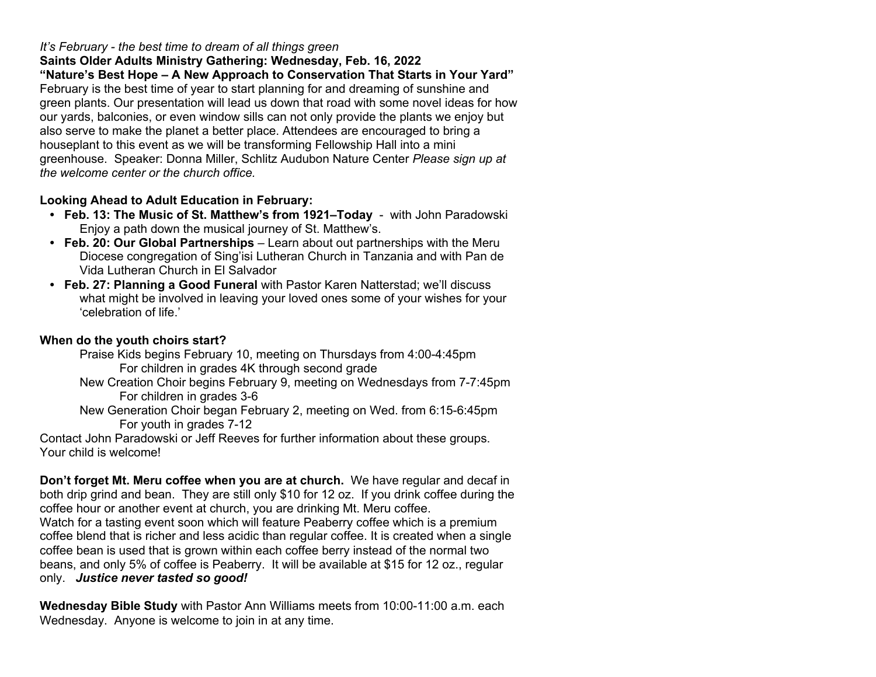## *It's February - the best time to dream of all things green*

**Saints Older Adults Ministry Gathering: Wednesday, Feb. 16, 2022 "Nature's Best Hope – A New Approach to Conservation That Starts in Your Yard"** February is the best time of year to start planning for and dreaming of sunshine and green plants. Our presentation will lead us down that road with some novel ideas for how our yards, balconies, or even window sills can not only provide the plants we enjoy but also serve to make the planet a better place. Attendees are encouraged to bring a houseplant to this event as we will be transforming Fellowship Hall into a mini greenhouse. Speaker: Donna Miller, Schlitz Audubon Nature Center *Please sign up at the welcome center or the church office.*

# **Looking Ahead to Adult Education in February:**

- **Feb. 13: The Music of St. Matthew's from 1921–Today** with John Paradowski Enjoy a path down the musical journey of St. Matthew's.
- **Feb. 20: Our Global Partnerships** Learn about out partnerships with the Meru Diocese congregation of Sing'isi Lutheran Church in Tanzania and with Pan de Vida Lutheran Church in El Salvador
- **Feb. 27: Planning a Good Funeral** with Pastor Karen Natterstad; we'll discuss what might be involved in leaving your loved ones some of your wishes for your 'celebration of life.'

## **When do the youth choirs start?**

Praise Kids begins February 10, meeting on Thursdays from 4:00-4:45pm For children in grades 4K through second grade

- New Creation Choir begins February 9, meeting on Wednesdays from 7-7:45pm For children in grades 3-6
- New Generation Choir began February 2, meeting on Wed. from 6:15-6:45pm For youth in grades 7-12

Contact John Paradowski or Jeff Reeves for further information about these groups. Your child is welcome!

**Don't forget Mt. Meru coffee when you are at church.** We have regular and decaf in both drip grind and bean. They are still only \$10 for 12 oz. If you drink coffee during the coffee hour or another event at church, you are drinking Mt. Meru coffee. Watch for a tasting event soon which will feature Peaberry coffee which is a premium coffee blend that is richer and less acidic than regular coffee. It is created when a single coffee bean is used that is grown within each coffee berry instead of the normal two beans, and only 5% of coffee is Peaberry. It will be available at \$15 for 12 oz., regular only. *Justice never tasted so good!*

**Wednesday Bible Study** with Pastor Ann Williams meets from 10:00-11:00 a.m. each Wednesday. Anyone is welcome to join in at any time.